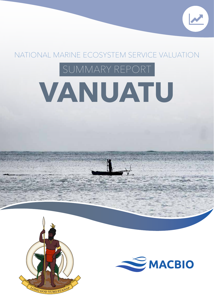

# NATIONAL Marine Ecosystem Service Valuation

# SUMMARY REPORT **VANUATU**



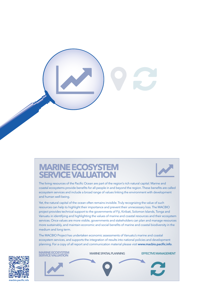## **MARINE ECOSYSTEM SERVICE VALUATION**



The living resources of the Pacific Ocean are part of the region's rich natural capital. Marine and coastal ecosystems provide benefits for all people in and beyond the region. These benefits are called ecosystem services and include a broad range of values linking the environment with development and human well-being.

Yet, the natural capital of the ocean often remains invisible. Truly recognizing the value of such resources can help to highlight their importance and prevent their unnecessary loss. The MACBIO project provides technical support to the governments of Fiji, Kiribati, Solomon Islands, Tonga and Vanuatu in identifying and highlighting the values of marine and coastal resources and their ecosystem services. Once values are more visible, governments and stakeholders can plan and manage resources more sustainably, and maintain economic and social benefits of marine and coastal biodiversity in the medium and long term.

The MACBIO Project has undertaken economic assessments of Vanuatu's marine and coastal ecosystem services, and supports the integration of results into national policies and development planning. For a copy of all report and communication material please visit **[www.macbio.pacific.info](http://www.macbio.pacific.info)**.



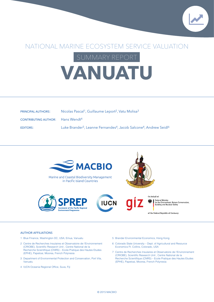

## NATIONAL Marine Ecosystem Service Valuation

# SUMMARY REPORT **VANUATU vanuatu**

| <b>PRINCIPAL AUTHORS:</b>                           | Nicolas Pascal <sup>1</sup> , Guillaume Leport <sup>2</sup> , Vatu Molisa <sup>3</sup>                             |  |  |
|-----------------------------------------------------|--------------------------------------------------------------------------------------------------------------------|--|--|
| <b>CONTRIBUTING AUTHOR:</b> Hans Wendt <sup>4</sup> |                                                                                                                    |  |  |
| <b>EDITORS:</b>                                     | Luke Brander <sup>5</sup> , Leanne Fernandes <sup>4</sup> , Jacob Salcone <sup>4</sup> , Andrew Seidl <sup>6</sup> |  |  |



#### author AFFILIATIONs

- 1 Blue Finance, Washington DC, USA; Emua, Vanuatu
- 2 Centre de Recherches Insulaires et Observatoire de l'Environnement (CRIOBE), Scientific Research Unit , Centre National de la Recherche Scientifique (CNRS) – Ecole Pratique des Hautes Etudes (EPHE), Papetoai, Moorea, French Polynesia
- 3 Department of Environmental Protection and Conservation, Port Vila, Vanuatu
- 4 IUCN Oceania Regional Office, Suva, Fiji
- 5 Brander Environmental Economics, Hong Kong
- 6 Colorado State University Dept. of Agricultural and Resource Economics Ft. Collins, Colorado, USA
- 7 Centre de Recherches Insulaires et Observatoire de l'Environnement (CRIOBE), Scientific Research Unit , Centre National de la Recherche Scientifique (CNRS) – Ecole Pratique des Hautes Etudes (EPHE), Papetoai, Moorea, French Polynesia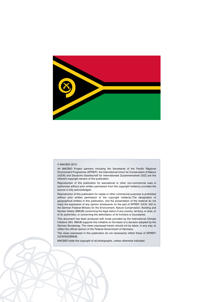

#### © MACBIO 2015

All MACBIO Project partners including the Secretariat of the Pacific Regional Environment Programme (SPREP), the International Union for Conservation of Nature (IUCN) and Deutsche Gesellschaft für Internationale Zusammenarbeit (GIZ) are the inherent copyright owners of this publication.

Reproduction of this publication for educational or other non-commercial uses is authorized without prior written permission from the copyright holder(s) provided the source is fully acknowledged.

Reproduction of this publication for resale or other commercial purposes is prohibited without prior written permission of the copyright holder(s).The designation of geographical entities in this publication, and the presentation of the material do not imply the expression of any opinion whatsoever on the part of SPREP, IUCN, GIZ or the German Federal Ministry for the Environment, Nature Conservation, Building and Nuclear Safety (BMUB) concerning the legal status of any country, territory, or area, or of its authorities, or concerning the delimitation of its frontiers or boundaries.

This document has been produced with funds provided by the International Climate Initiative (IKI). BMUB supports this initiative on the basis of a decision adopted by the German Bundestag. The views expressed herein should not be taken, in any way, to reflect the official opinion of the Federal Government of Germany.

The views expressed in this publication do not necessarily reflect those of SPREP/ IUCN/GIZ/BMUB.

MACBIO holds the copyright of all photographs, unless otherwise indicated.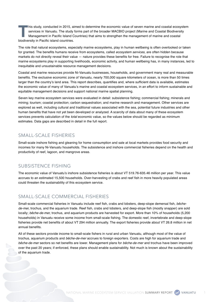This study, conducted in 2015, aimed to determine the economic value of seven marine and coastal ecosystem<br>services in Vanuatu. The study forms part of the broader MACBIO project (Marine and Coastal Biodiversity<br>Management services in Vanuatu. The study forms part of the broader MACBIO project (Marine and Coastal Biodiversity Management in Pacific Island Countries) that aims to strengthen the management of marine and coastal biodiversity in Pacific island countries.

The role that natural ecosystems, especially marine ecosystems, play in human wellbeing is often overlooked or taken for granted. The benefits humans receive from ecosystems, called *ecosystem services*, are often hidden because markets do not directly reveal their value — nature provides these benefits for free. Failure to recognise the role that marine ecosystems play in supporting livelihoods, economic activity, and human wellbeing has, in many instances, led to inequitable and unsustainable resource management decisions.

Coastal and marine resources provide Ni-Vanuatu businesses, households, and government many real and measurable benefits. The exclusive economic zone of Vanuatu, nearly 700,000 square kilometers of ocean, is more than 50 times larger than the country's land area. This report describes, quantifies and, where sufficient data is available, estimates the economic value of many of Vanuatu's marine and coastal ecosystem services, in an effort to inform sustainable and equitable management decisions and support national marine spatial planning.

Seven key marine ecosystem services were evaluated in detail: subsistence fishing; commercial fishing; minerals and mining; tourism; coastal protection; carbon sequestration; and marine research and management. Other services are explored as well, including cultural and traditional values associated with the sea, potential future industries and other human benefits that have not yet been developed or analyzed. A scarcity of data about many of these ecosystem services prevents calculation of the *total* economic value, so the values below should be regarded as minimum estimates. Data gaps are described in detail in the full report.

#### Small-scale fisheries

Small-scale inshore fishing and gleaning for home consumption and sale at local markets provides food security and incomes for many Ni-Vanuatu households. The subsistence and inshore commercial fisheries depend on the health and productivity of reef, lagoon, and mangrove areas.

#### Subsistence fishing

The economic value of Vanuatu's inshore subsistence fisheries is about VT 519.76-635.46 million per year. This value accrues to an estimated 15,500 households. Over-harvesting of crabs and reef fish in more heavily populated areas could threaten the sustainability of this ecosystem service.

### Small-scale commercial fisheries

Small-scale commercial fisheries in Vanuatu include reef fish, crabs and lobsters, deep-slope demersal fish, *bêchede-mer,* trochus, and the aquarium trade*.* Reef fish, crabs and lobsters, and deep-slope fish (mostly snapper) are sold locally; *bêche-de-mer,* trochus, and aquarium products are harvested for export. More than 10% of households (5,200 households) in Vanuatu receive some income from small-scale fishing. The domestic reef, invertebrate and deep-slope fisheries provide net benefits of about VT 294 million annually. The export fisheries provide about VT 26.8 million in net annual benefits.

All of these sectors provide income to small-scale fishers in rural and urban Vanuatu, although most of the value of trochus, aquarium products and *bêche-de-mer* accrues to foreign exporters. Costs are high for aquarium trade and *bêche-de-mer* sectors so net benefits are lower. Management plans for *bêche-de-mer* and trochus have been improved over the past 20 years; if enforced, these plans should enable sustainability. Not much is known about the sustainability of the aquarium trade.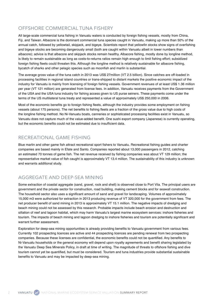### Offshore commercial tuna fishery

All large-scale commercial tuna fishing in Vanuatu waters is conducted by foreign fishing vessels, mostly from China, Fiji, and Taiwan. Albacore is the dominant commercial tuna species caught in Vanuatu, making up more than 50% of the annual catch, followed by yellowtail, skipjack, and bigeye. Scientists report that yellowfin stocks show signs of overfishing and bigeye stocks are becoming dangerously small (both are caught within Vanuatu albeit in lower numbers than albacore); advice is that albacore and skipjack stocks remain healthy. Albacore fishing, mostly done by longline method, is likely to remain sustainable as long as costs-to-returns ratios remain high enough to limit fishing effort; subsidized foreign fishing fleets could threaten this. Although the longline method is relatively sustainable for albacore fishing, bycatch of sharks and other pelagic species such as moonfish and marlin is substantial.

The average gross value of the tuna catch in 2013 was US\$ 27million (VT 2.5 billion). Since catches are off-loaded in processing facilities in regional island countries or trans-shipped to distant markets the positive economic impact of the industry for Vanuatu is mainly from licensing of foreign fishing vessels. Government revenues of at least US\$ 1.36 million per year (VT 121 million) are generated from license fees. In addition, Vanuatu receives payments from the Government of the USA and the USA tuna industry for fishing access given to US purse seiners. These payments come under the terms of the US multilateral tuna treaty and represented a value of approximately US\$ 250,000 in 2006.

Most of the economic benefits go to foreign fishing fleets, although the industry provides some employment on fishing vessels (about 175 persons). The net benefits to fishing fleets are a fraction of the gross value due to high costs of the longline fishing method. No Ni-Vanuatu boats, canneries or sophisticated processing facilities exist in Vanuatu, so Vanuatu does not capture much of the value-added benefit. One sushi export company (Japanese) is currently operating, but the economic benefits could not be estimated due to insufficient data.

#### Recreational game fishing

Blue marlin and other game fish attract recreational sport fishers to Vanuatu. Recreational fishing guides and charter companies are based mainly in Efate and Santo. Companies reported about 13,000 passengers in 2012, catching an estimated 70 tonnes of game fish. The net revenue received by fishing companies was about VT 129 million; the representative market value of fish caught is approximately VT 13.4 million. The sustainability of this industry is unknown and warrants additional study.

### Aggregate and deep-sea mining

Some extraction of coastal aggregate (sand, gravel, rock and shell) is observed close to Port Vila. The principal users are government and the private sector for construction, road building, making cement blocks and for seawall construction. The household sector also uses a significant amount of sand and gravel for landscaping. Volumes of approximately 15,000 m3 were authorized for extraction in 2013 producing revenue of VT 320,000 for the government from fees. The net producer benefit of sand mining in 2013 is approximately VT 15.1 million. The negative impacts of dredging and beach mining could not be assessed by this research. Probable impacts include beach erosion and destruction and siltation of reef and lagoon habitat, which may harm Vanuatu's largest marine ecosystem services: inshore fisheries and tourism. The impacts of beach mining and lagoon dredging to inshore fisheries and tourism are potentially significant and warrant further assessment.

Exploration for deep-sea mining opportunities is already providing benefits to Vanuatu government from various fees. Currently 102 prospecting licences are active and 44 prospecting licences are pending renewal from two prospecting companies. Because these licenses are confidential, the economic benefits could not be quantified. Any benefits to Ni-Vanuatu households or the general economy will depend upon royalty agreements and benefit sharing legislated by the Vanuatu Deep Sea Minerals Policy, in draft at time of writing. The magnitude of threats to offshore fishing and dive tourism cannot yet be quantified, but must be considered. Tourism and tuna industries provide substantial sustainable benefits to Vanuatu and may be impacted by deep-sea mining.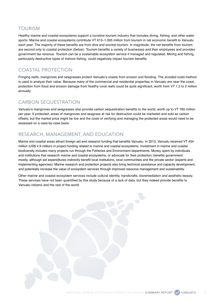#### **TOURISM**

Healthy marine and coastal ecosystems support a lucrative tourism industry that includes diving, fishing, and other water sports. Marine and coastal ecosystems contribute VT 613–1,095 million from tourism in net economic benefit to Vanuatu each year. The majority of these benefits are from dive and snorkel tourism. In magnitude, the net benefits from tourism are second only to coastal protection (below). Tourism benefits a variety of businesses and their employees and provides government tax revenue. Tourism can be a sustainable ecosystem service if managed and regulated. Mining and fishing, particularly destructive types of inshore fishing, could negatively impact tourism benefits.

### Coastal protection

Fringing reefs, mangroves and seagrasses protect Vanuatu's coasts from erosion and flooding. The *avoided costs* method is used to analyze their value. Because many of the commercial and residential properties in Vanuatu are near the coast, protection from flood and erosion damage from healthy coral reefs could be quite significant, worth from VT 1.2 to 2 million annually.

### Carbon sequestration

Vanuatu's mangroves and seagrasses also provide carbon sequestration benefits to the world, worth up to VT 760 million per year. If protected, areas of mangroves and seagrass at risk for destruction could be marketed and sold as carbon offsets, but the market price might be low and the costs of verifying and managing the protected areas would need to be assessed on a case-by-case basis.

### Research, management, and education

Marine and coastal areas attract foreign aid and research funding that benefits Vanuatu. In 2013, Vanuatu received VT 434 million (US\$ 4.9 million) in project funding related to marine and coastal ecosystems. Investment in marine and coastal biodiversity includes many projects run through the Fisheries and Environment departments. Money spent by individuals and institutions that research marine and coastal ecosystems, or advocate for their protection, benefits government mostly, although aid expenditures indirectly benefit local institutions, local communities and the private sector (experts and implementing agencies). Marine research and protection projects also bring technical assistance and capacity development, and potentially increase the value of ecosystem services through improved resource management and sustainability.

Other marine and coastal ecosystem services include cultural identity, handicrafts, bioremediation and aesthetic beauty. These services have not been quantified by this study because of a lack of data, but they indeed provide benefits to Vanuatu citizens and the rest of the world.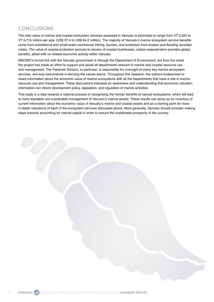## Conclusions

The total value of marine and coastal ecosystem services assessed in Vanuatu is estimated to range from VT 3,325 to VT 5,715 million per year (US\$ 37.4 to US\$ 64.2 million). The majority of Vanuatu's marine ecosystem service benefits come from subsistence and small-scale commercial fishing, tourism, and protection from erosion and flooding (avoided costs). The value of coastal protection accrues to owners of coastal businesses; carbon sequestration provides global benefits, albeit with no related economic activity within Vanuatu.

MACBIO's formal link with the Vanuatu government is through the Department of Environment, but from the onset the project has made an effort to support and assist all departments relevant to marine and coastal resource use and management. The Fisheries Division, in particular, is responsible for oversight of many key marine ecosystem services, and was instrumental in deriving the values above. Throughout this research, the authors endeavored to share information about the economic value of marine ecosystems with all the Departments that have a role in marine resource use and management. These discussions indicated an awareness and understanding that economic valuation information can inform development policy, legislation, and regulation of marine activities.

This study is a step towards a national process of recognising the human benefits of natural ecosystems, which will lead to more equitable and sustainable management of Vanuatu's marine assets. These results can serve as an inventory of current information about the economic value of Vanuatu's marine and coastal assets and as a starting point for more in-depth valuations of each of the ecosystem services discussed above. More generally, Vanuatu should consider making steps towards accounting for natural capital in order to ensure the sustainable prosperity of the country.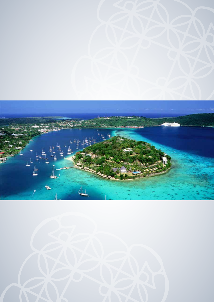